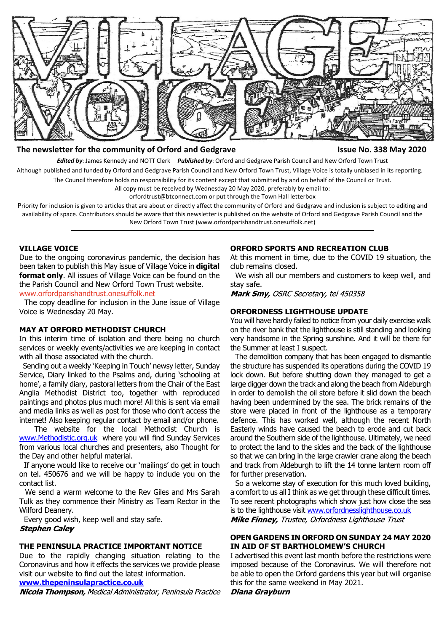

#### **The newsletter for the community of Orford and Gedgrave Issue No. 338 May 2020**

*Edited by*: James Kennedy and NOTT Clerk *Published by*: Orford and Gedgrave Parish Council and New Orford Town Trust

Although published and funded by Orford and Gedgrave Parish Council and New Orford Town Trust, Village Voice is totally unbiased in its reporting.

The Council therefore holds no responsibility for its content except that submitted by and on behalf of the Council or Trust.

All copy must be received by Wednesday 20 May 2020, preferably by email to:

orfordtrust@btconnect.com or put through the Town Hall letterbox

Priority for inclusion is given to articles that are about or directly affect the community of Orford and Gedgrave and inclusion is subject to editing and availability of space. Contributors should be aware that this newsletter is published on the website of Orford and Gedgrave Parish Council and the New Orford Town Trust (www.orfordparishandtrust.onesuffolk.net)

#### **VILLAGE VOICE**

Due to the ongoing coronavirus pandemic, the decision has been taken to publish this May issue of Village Voice in **digital format only.** All issues of Village Voice can be found on the the Parish Council and New Orford Town Trust website. <www.orfordparishandtrust.onesuffolk.net>

 The copy deadline for inclusion in the June issue of Village Voice is Wednesday 20 May.

#### **MAY AT ORFORD METHODIST CHURCH**

In this interim time of isolation and there being no church services or weekly events/activities we are keeping in contact with all those associated with the church.

 Sending out a weekly 'Keeping in Touch' newsy letter, Sunday Service, Diary linked to the Psalms and, during 'schooling at home', a family diary, pastoral letters from the Chair of the East Anglia Methodist District too, together with reproduced paintings and photos plus much more! All this is sent via email and media links as well as post for those who don't access the internet! Also keeping regular contact by email and/or phone.

 The website for the local Methodist Church is www.Methodistic.org.uk where you will find Sunday Services from various local churches and presenters, also Thought for the Day and other helpful material.

 If anyone would like to receive our 'mailings' do get in touch on tel. 450676 and we will be happy to include you on the contact list.

 We send a warm welcome to the Rev Giles and Mrs Sarah Tulk as they commence their Ministry as Team Rector in the Wilford Deanery.

 Every good wish, keep well and stay safe. **Stephen Caley** 

#### **THE PENINSULA PRACTICE IMPORTANT NOTICE**

Due to the rapidly changing situation relating to the Coronavirus and how it effects the services we provide please visit our website to find out the latest information.

**www.thepeninsulapractice.co.uk**

Nicola Thompson, Medical Administrator, Peninsula Practice

#### **ORFORD SPORTS AND RECREATION CLUB**

At this moment in time, due to the COVID 19 situation, the club remains closed.

 We wish all our members and customers to keep well, and stay safe.

Mark Smy, OSRC Secretary, tel 450358

#### **ORFORDNESS LIGHTHOUSE UPDATE**

You will have hardly failed to notice from your daily exercise walk on the river bank that the lighthouse is still standing and looking very handsome in the Spring sunshine. And it will be there for the Summer at least I suspect.

 The demolition company that has been engaged to dismantle the structure has suspended its operations during the COVID 19 lock down. But before shutting down they managed to get a large digger down the track and along the beach from Aldeburgh in order to demolish the oil store before it slid down the beach having been undermined by the sea. The brick remains of the store were placed in front of the lighthouse as a temporary defence. This has worked well, although the recent North Easterly winds have caused the beach to erode and cut back around the Southern side of the lighthouse. Ultimately, we need to protect the land to the sides and the back of the lighthouse so that we can bring in the large crawler crane along the beach and track from Aldeburgh to lift the 14 tonne lantern room off for further preservation.

 So a welcome stay of execution for this much loved building, a comfort to us all I think as we get through these difficult times. To see recent photographs which show just how close the sea is to the lighthouse visit www.orfordnesslighthouse.co.uk Mike Finney, Trustee, Orfordness Lighthouse Trust

### **OPEN GARDENS IN ORFORD ON SUNDAY 24 MAY 2020 IN AID OF ST BARTHOLOMEW'S CHURCH**

I advertised this event last month before the restrictions were imposed because of the Coronavirus. We will therefore not be able to open the Orford gardens this year but will organise this for the same weekend in May 2021.

Diana Grayburn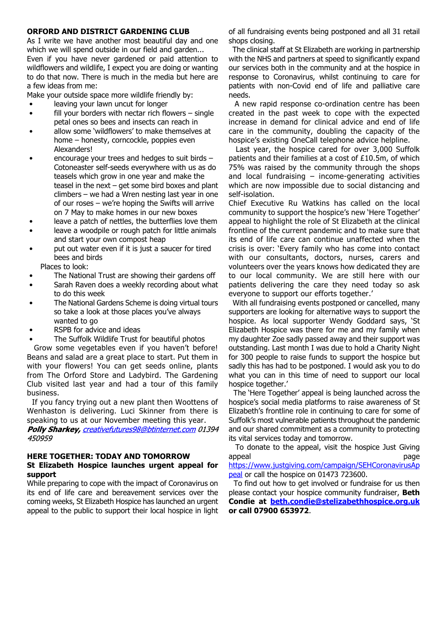#### **ORFORD AND DISTRICT GARDENING CLUB**

As I write we have another most beautiful day and one which we will spend outside in our field and garden... Even if you have never gardened or paid attention to wildflowers and wildlife, I expect you are doing or wanting to do that now. There is much in the media but here are a few ideas from me:

Make your outside space more wildlife friendly by:

- leaving your lawn uncut for longer
- fill your borders with nectar rich flowers  $-$  single petal ones so bees and insects can reach in
- allow some 'wildflowers' to make themselves at home – honesty, corncockle, poppies even Alexanders!
- encourage your trees and hedges to suit birds  $-$  Cotoneaster self-seeds everywhere with us as do teasels which grow in one year and make the teasel in the next  $-$  get some bird boxes and plant climbers – we had a Wren nesting last year in one of our roses – we're hoping the Swifts will arrive on 7 May to make homes in our new boxes
- leave a patch of nettles, the butterflies love them
- leave a woodpile or rough patch for little animals and start your own compost heap
- put out water even if it is just a saucer for tired bees and birds

Places to look:

- The National Trust are showing their gardens off
- Sarah Raven does a weekly recording about what to do this week
- The National Gardens Scheme is doing virtual tours so take a look at those places you've always wanted to go
- RSPB for advice and ideas
- The Suffolk Wildlife Trust for beautiful photos

 Grow some vegetables even if you haven't before! Beans and salad are a great place to start. Put them in with your flowers! You can get seeds online, plants from The Orford Store and Ladybird. The Gardening Club visited last year and had a tour of this family business.

 If you fancy trying out a new plant then Woottens of Wenhaston is delivering. Luci Skinner from there is speaking to us at our November meeting this year.

Polly Sharkey, creativefutures98@btinternet.com 01394 450959

#### **HERE TOGETHER: TODAY AND TOMORROW St Elizabeth Hospice launches urgent appeal for support**

While preparing to cope with the impact of Coronavirus on its end of life care and bereavement services over the coming weeks, St Elizabeth Hospice has launched an urgent appeal to the public to support their local hospice in light of all fundraising events being postponed and all 31 retail shops closing.

 The clinical staff at St Elizabeth are working in partnership with the NHS and partners at speed to significantly expand our services both in the community and at the hospice in response to Coronavirus, whilst continuing to care for patients with non-Covid end of life and palliative care needs.

 A new rapid response co-ordination centre has been created in the past week to cope with the expected increase in demand for clinical advice and end of life care in the community, doubling the capacity of the hospice's existing OneCall telephone advice helpline.

 Last year, the hospice cared for over 3,000 Suffolk patients and their families at a cost of £10.5m, of which 75% was raised by the community through the shops and local fundraising  $-$  income-generating activities which are now impossible due to social distancing and self-isolation.

Chief Executive Ru Watkins has called on the local community to support the hospice's new 'Here Together' appeal to highlight the role of St Elizabeth at the clinical frontline of the current pandemic and to make sure that its end of life care can continue unaffected when the crisis is over: 'Every family who has come into contact with our consultants, doctors, nurses, carers and volunteers over the years knows how dedicated they are to our local community. We are still here with our patients delivering the care they need today so ask everyone to support our efforts together.'

 With all fundraising events postponed or cancelled, many supporters are looking for alternative ways to support the hospice. As local supporter Wendy Goddard says, 'St Elizabeth Hospice was there for me and my family when my daughter Zoe sadly passed away and their support was outstanding. Last month I was due to hold a Charity Night for 300 people to raise funds to support the hospice but sadly this has had to be postponed. I would ask you to do what you can in this time of need to support our local hospice together.'

 The 'Here Together' appeal is being launched across the hospice's social media platforms to raise awareness of St Elizabeth's frontline role in continuing to care for some of Suffolk's most vulnerable patients throughout the pandemic and our shared commitment as a community to protecting its vital services today and tomorrow.

 To donate to the appeal, visit the hospice Just Giving appeal and a state of the control of the control of the control of the control of the control of the control of https://www.justgiving.com/campaign/SEHCoronavirusAp peal or call the hospice on 01473 723600.

 To find out how to get involved or fundraise for us then please contact your hospice community fundraiser, **Beth Condie at beth.condie@stelizabethhospice.org.uk or call 07900 653972**.